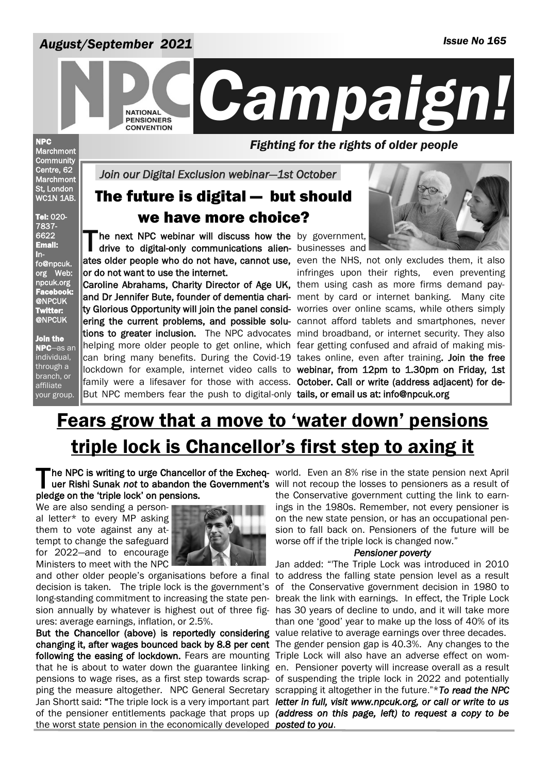### *August/September 2021*



NPC **Marchmont Community** Centre, 62 **Marchmont** St, London WC1N 1AB.

Tel: 020- 7837- 6622 Email: info@npcuk. org Web: npcuk.org Facebook: @NPCUK Twitter: @NPCUK Join the NPC—as an individual, through a branch, or affiliate your group.

*Fighting for the rights of older people* 

*Join our Digital Exclusion webinar—1st October* 

### The future is digital — but should we have more choice?

The next NPC webinar will discuss how the by government,<br>
drive to digital-only communications alien- businesses and drive to digital-only communications alien- businesses and or do not want to use the internet.

Caroline Abrahams, Charity Director of Age UK, them using cash as more firms demand payand Dr Jennifer Bute, founder of dementia chari- ment by card or internet banking. Many cite ty Glorious Opportunity will join the panel consid- worries over online scams, while others simply ering the current problems, and possible solu- cannot afford tablets and smartphones, never tions to greater inclusion. The NPC advocates mind broadband, or internet security. They also helping more older people to get online, which fear getting confused and afraid of making miscan bring many benefits. During the Covid-19 takes online, even after training. Join the free lockdown for example, internet video calls to webinar, from 12pm to 1.30pm on Friday, 1st family were a lifesaver for those with access. October. Call or write (address adjacent) for de-But NPC members fear the push to digital-only tails, or email us at: info@npcuk.org



ates older people who do not have, cannot use, even the NHS, not only excludes them, it also infringes upon their rights, even preventing

## Fears grow that a move to 'water down' pensions triple lock is Chancellor's first step to axing it

The NPC is writing to urge Chancellor of the Excheq- world. Even an 8% rise in the state pension next April<br>uer Rishi Sunak not to abandon the Government's will not recoup the losses to pensioners as a result of pledge on the 'triple lock' on pensions.

We are also sending a personal letter\* to every MP asking them to vote against any attempt to change the safeguard for 2022—and to encourage Ministers to meet with the NPC



ures: average earnings, inflation, or 2.5%.

But the Chancellor (above) is reportedly considering value relative to average earnings over three decades. changing it, after wages bounced back by 8.8 per cent The gender pension gap is 40.3%. Any changes to the following the easing of lockdown. Fears are mounting Triple Lock will also have an adverse effect on womthat he is about to water down the guarantee linking en. Pensioner poverty will increase overall as a result pensions to wage rises, as a first step towards scrap-of suspending the triple lock in 2022 and potentially ping the measure altogether. NPC General Secretary scrapping it altogether in the future."\* To read the NPC Jan Shortt said: "The triple lock is a very important part letter in full, visit www.npcuk.org, or call or write to us of the pensioner entitlements package that props up *(address on this page, left) to request a copy to be*  the worst state pension in the economically developed *posted to you*.

uer Rishi Sunak *not* to abandon the Government's will not recoup the losses to pensioners as a result of the Conservative government cutting the link to earnings in the 1980s. Remember, not every pensioner is on the new state pension, or has an occupational pension to fall back on. Pensioners of the future will be worse off if the triple lock is changed now."

#### *Pensioner poverty*

and other older people's organisations before a final to address the falling state pension level as a result decision is taken. The triple lock is the government's of the Conservative government decision in 1980 to long-standing commitment to increasing the state pen- break the link with earnings. In effect, the Triple Lock sion annually by whatever is highest out of three fig-has 30 years of decline to undo, and it will take more Jan added: "'The Triple Lock was introduced in 2010 than one 'good' year to make up the loss of 40% of its